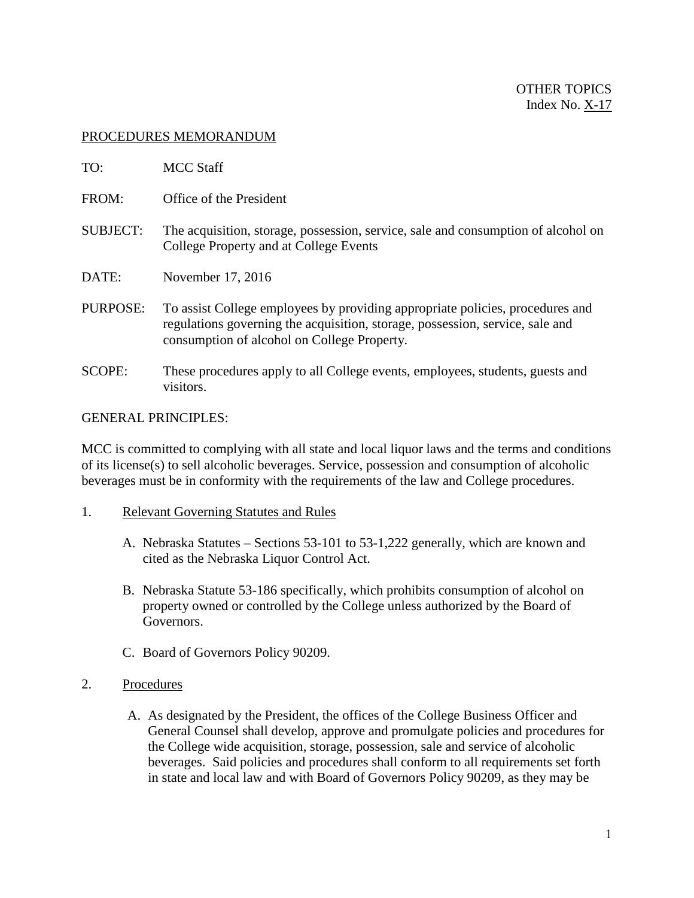## PROCEDURES MEMORANDUM

| TO:             | <b>MCC Staff</b>                                                                                                                                                                                              |
|-----------------|---------------------------------------------------------------------------------------------------------------------------------------------------------------------------------------------------------------|
| FROM:           | Office of the President                                                                                                                                                                                       |
| <b>SUBJECT:</b> | The acquisition, storage, possession, service, sale and consumption of alcohol on<br>College Property and at College Events                                                                                   |
| DATE:           | November 17, 2016                                                                                                                                                                                             |
| PURPOSE:        | To assist College employees by providing appropriate policies, procedures and<br>regulations governing the acquisition, storage, possession, service, sale and<br>consumption of alcohol on College Property. |
| <b>SCOPE:</b>   | These procedures apply to all College events, employees, students, guests and<br>visitors.                                                                                                                    |

## GENERAL PRINCIPLES:

MCC is committed to complying with all state and local liquor laws and the terms and conditions of its license(s) to sell alcoholic beverages. Service, possession and consumption of alcoholic beverages must be in conformity with the requirements of the law and College procedures.

- 1. Relevant Governing Statutes and Rules
	- A. Nebraska Statutes Sections 53-101 to 53-1,222 generally, which are known and cited as the Nebraska Liquor Control Act.
	- B. Nebraska Statute 53-186 specifically, which prohibits consumption of alcohol on property owned or controlled by the College unless authorized by the Board of Governors.
	- C. Board of Governors Policy 90209.
- 2. Procedures
	- A. As designated by the President, the offices of the College Business Officer and General Counsel shall develop, approve and promulgate policies and procedures for the College wide acquisition, storage, possession, sale and service of alcoholic beverages. Said policies and procedures shall conform to all requirements set forth in state and local law and with Board of Governors Policy 90209, as they may be